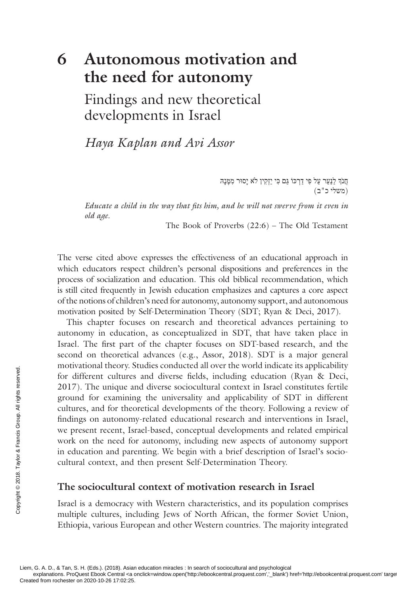# **6 Autonomous motivation and the need for autonomy**

 Findings and new theoretical developments in Israel

 *Haya Kaplan and Avi Assor* 

חֲנֹךְ לַנַּעַר עַל פִי דַרְכּוֹ גַּם כִּי יַזְקִין לֹא יָסוּר מִמֶּנָהּ (משלי כ"ב)

*Educate a child in the way that fits him, and he will not swerve from it even in old age* .

The Book of Proverbs (22:6) – The Old Testament

The verse cited above expresses the effectiveness of an educational approach in which educators respect children's personal dispositions and preferences in the process of socialization and education. This old biblical recommendation, which is still cited frequently in Jewish education emphasizes and captures a core aspect of the notions of children's need for autonomy, autonomy support, and autonomous motivation posited by Self-Determination Theory (SDT; Ryan & Deci, 2017 ).

This chapter focuses on research and theoretical advances pertaining to autonomy in education, as conceptualized in SDT, that have taken place in Israel. The first part of the chapter focuses on SDT-based research, and the second on theoretical advances (e.g., Assor, 2018). SDT is a major general motivational theory. Studies conducted all over the world indicate its applicability for different cultures and diverse fields, including education (Ryan & Deci, 2017 ). The unique and diverse sociocultural context in Israel constitutes fertile ground for examining the universality and applicability of SDT in different cultures, and for theoretical developments of the theory. Following a review of findings on autonomy-related educational research and interventions in Israel, we present recent, Israel-based, conceptual developments and related empirical work on the need for autonomy, including new aspects of autonomy support in education and parenting. We begin with a brief description of Israel's sociocultural context, and then present Self-Determination Theory. From rochester on 2020-10-26 17:02:25.<br>
Exemption for examining<br>
ground for examining<br>
ground for examining<br>
cultures, and for the<br>
findings on autonom<br>
we present recent, Is,<br>
work on the need for<br>
in education and pare<br>

#### **The sociocultural context of motivation research in Israel**

Israel is a democracy with Western characteristics, and its population comprises multiple cultures, including Jews of North African, the former Soviet Union, Ethiopia, various European and other Western countries. The majority integrated

Liem, G. A. D., & Tan, S. H. (Eds.). (2018). Asian education miracles : In search of sociocultural and psychological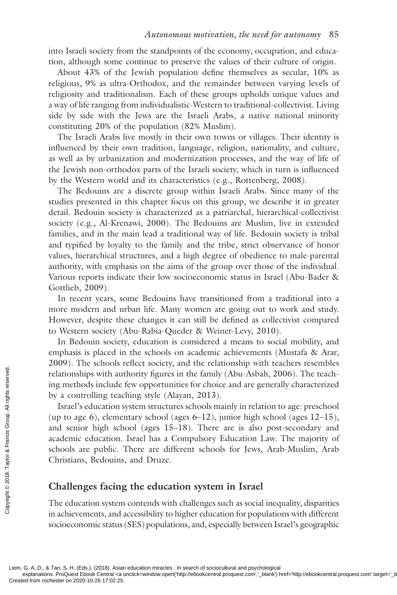into Israeli society from the standpoints of the economy, occupation, and education, although some continue to preserve the values of their culture of origin.

About 43% of the Jewish population define themselves as secular, 10% as religious, 9% as ultra-Orthodox, and the remainder between varying levels of religiosity and traditionalism. Each of these groups upholds unique values and a way of life ranging from individualistic-Western to traditional-collectivist. Living side by side with the Jews are the Israeli Arabs, a native national minority constituting 20% of the population (82% Muslim).

The Israeli Arabs live mostly in their own towns or villages. Their identity is influenced by their own tradition, language, religion, nationality, and culture, as well as by urbanization and modernization processes, and the way of life of the Jewish non-orthodox parts of the Israeli society, which in turn is influenced by the Western world and its characteristics (e.g., Rottenberg, 2008 ).

The Bedouins are a discrete group within Israeli Arabs. Since many of the studies presented in this chapter focus on this group, we describe it in greater detail. Bedouin society is characterized as a patriarchal, hierarchical-collectivist society (e.g., Al-Krenawi, 2000). The Bedouins are Muslim, live in extended families, and in the main lead a traditional way of life. Bedouin society is tribal and typified by loyalty to the family and the tribe, strict observance of honor values, hierarchical structures, and a high degree of obedience to male-parental authority, with emphasis on the aims of the group over those of the individual. Various reports indicate their low socioeconomic status in Israel ( Abu-Bader & Gottlieb, 2009 ).

In recent years, some Bedouins have transitioned from a traditional into a more modern and urban life. Many women are going out to work and study. However, despite these changes it can still be defined as collectivist compared to Western society ( Abu-Rabia-Queder & Weiner-Levy, 2010 ).

In Bedouin society, education is considered a means to social mobility, and emphasis is placed in the schools on academic achievements ( Mustafa & Arar, 2009). The schools reflect society, and the relationship with teachers resembles relationships with authority figures in the family (Abu-Asbah, 2006). The teaching methods include few opportunities for choice and are generally characterized by a controlling teaching style (Alayan, 2013).

Israel's education system structures schools mainly in relation to age: preschool (up to age 6), elementary school (ages 6–12), junior high school (ages 12–15), and senior high school (ages 15–18). There are is also post-secondary and academic education. Israel has a Compulsory Education Law. The majority of schools are public. There are different schools for Jews, Arab-Muslim, Arab Christians, Bedouins, and Druze. From rockets and scheme of Created from rochester on 2020-10-26 17:02:25.<br>
Created from rochester on 2020-10-26 17:02:25.<br>
Created from rochester on 2020-10-26 17:02:25.

# **Challenges facing the education system in Israel**

The education system contends with challenges such as social inequality, disparities in achievements, and accessibility to higher education for populations with different socioeconomic status (SES) populations, and, especially between Israel's geographic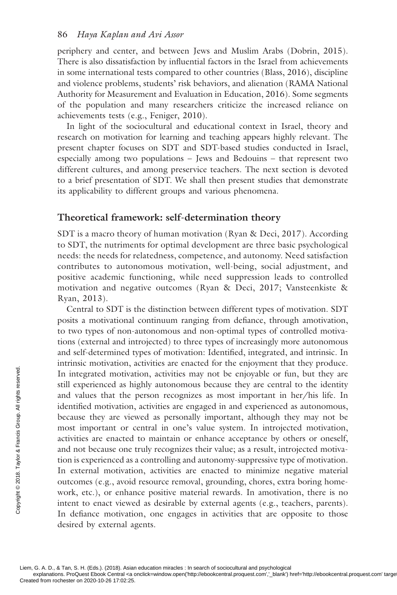periphery and center, and between Jews and Muslim Arabs ( Dobrin, 2015 ). There is also dissatisfaction by influential factors in the Israel from achievements in some international tests compared to other countries ( Blass, 2016 ), discipline and violence problems, students' risk behaviors, and alienation ( RAMA National Authority for Measurement and Evaluation in Education, 2016 ). Some segments of the population and many researchers criticize the increased reliance on achievements tests (e.g., Feniger, 2010).

In light of the sociocultural and educational context in Israel, theory and research on motivation for learning and teaching appears highly relevant. The present chapter focuses on SDT and SDT-based studies conducted in Israel, especially among two populations – Jews and Bedouins – that represent two different cultures, and among preservice teachers. The next section is devoted to a brief presentation of SDT. We shall then present studies that demonstrate its applicability to different groups and various phenomena.

## **Theoretical framework: self-determination theory**

SDT is a macro theory of human motivation ( Ryan & Deci, 2017 ). According to SDT, the nutriments for optimal development are three basic psychological needs: the needs for relatedness, competence, and autonomy. Need satisfaction contributes to autonomous motivation, well-being, social adjustment, and positive academic functioning, while need suppression leads to controlled motivation and negative outcomes ( Ryan & Deci, 2017 ; Vansteenkiste & Ryan, 2013 ).

Central to SDT is the distinction between different types of motivation. SDT posits a motivational continuum ranging from defiance, through amotivation, to two types of non-autonomous and non-optimal types of controlled motivations (external and introjected) to three types of increasingly more autonomous and self-determined types of motivation: Identified, integrated, and intrinsic. In intrinsic motivation, activities are enacted for the enjoyment that they produce. In integrated motivation, activities may not be enjoyable or fun, but they are still experienced as highly autonomous because they are central to the identity and values that the person recognizes as most important in her/his life. In identified motivation, activities are engaged in and experienced as autonomous, because they are viewed as personally important, although they may not be most important or central in one's value system. In introjected motivation, activities are enacted to maintain or enhance acceptance by others or oneself, and not because one truly recognizes their value; as a result, introjected motivation is experienced as a controlling and autonomy-suppressive type of motivation. In external motivation, activities are enacted to minimize negative material outcomes (e.g., avoid resource removal, grounding, chores, extra boring homework, etc.), or enhance positive material rewards. In amotivation, there is no intent to enact viewed as desirable by external agents (e.g., teachers, parents). In defiance motivation, one engages in activities that are opposite to those desired by external agents. The integrated motivation signal values that the identified motivation, because they are view most important or contract the detail of the served and not because one tion is experienced as In external motivation outcomes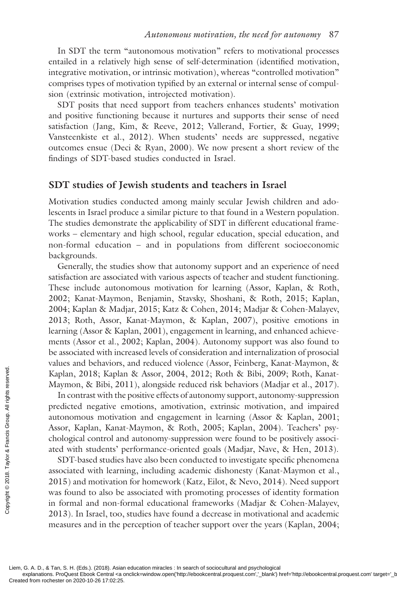In SDT the term "autonomous motivation" refers to motivational processes entailed in a relatively high sense of self-determination (identified motivation, integrative motivation, or intrinsic motivation), whereas "controlled motivation" comprises types of motivation typified by an external or internal sense of compulsion (extrinsic motivation, introjected motivation).

SDT posits that need support from teachers enhances students' motivation and positive functioning because it nurtures and supports their sense of need satisfaction (Jang, Kim, & Reeve, 2012; Vallerand, Fortier, & Guay, 1999; Vansteenkiste et al., 2012). When students' needs are suppressed, negative outcomes ensue ( Deci & Ryan, 2000 ). We now present a short review of the findings of SDT-based studies conducted in Israel.

# **SDT studies of Jewish students and teachers in Israel**

Motivation studies conducted among mainly secular Jewish children and adolescents in Israel produce a similar picture to that found in a Western population. The studies demonstrate the applicability of SDT in different educational frameworks – elementary and high school, regular education, special education, and non-formal education – and in populations from different socioeconomic backgrounds.

Generally, the studies show that autonomy support and an experience of need satisfaction are associated with various aspects of teacher and student functioning. These include autonomous motivation for learning ( Assor, Kaplan, & Roth, 2002; Kanat-Maymon, Benjamin, Stavsky, Shoshani, & Roth, 2015; Kaplan, 2004 ; Kaplan & Madjar, 2015 ; Katz & Cohen, 2014 ; Madjar & Cohen-Malayev, 2013 ; Roth, Assor, Kanat-Maymon, & Kaplan, 2007 ), positive emotions in learning ( Assor & Kaplan, 2001 ), engagement in learning, and enhanced achievements (Assor et al., 2002; Kaplan, 2004). Autonomy support was also found to be associated with increased levels of consideration and internalization of prosocial values and behaviors, and reduced violence (Assor, Feinberg, Kanat-Maymon, & Kaplan, 2018; Kaplan & Assor, 2004, 2012; Roth & Bibi, 2009; Roth, Kanat-Maymon, & Bibi, 2011 ), alongside reduced risk behaviors (Madjar et al., 2017).

In contrast with the positive effects of autonomy support, autonomy- suppression predicted negative emotions, amotivation, extrinsic motivation, and impaired autonomous motivation and engagement in learning (Assor & Kaplan, 2001; Assor, Kaplan, Kanat-Maymon, & Roth, 2005; Kaplan, 2004). Teachers' psychological control and autonomy-suppression were found to be positively associated with students' performance-oriented goals (Madjar, Nave, & Hen, 2013).

SDT-based studies have also been conducted to investigate specific phenomena associated with learning, including academic dishonesty ( Kanat-Maymon et al., 2015 ) and motivation for homework ( Katz, Eilot, & Nevo, 2014 ). Need support was found to also be associated with promoting processes of identity formation in formal and non-formal educational frameworks ( Madjar & Cohen-Malayev, 2013 ). In Israel, too, studies have found a decrease in motivational and academic measures and in the perception of teacher support over the years (Kaplan, 2004; Examples Maymon, & Bibi, 20<br>
Maymon, & Bibi, 20<br>
In contrast with the<br>
predicted negative e<br>
autonomous motivat<br>
Assor, Kaplan, Kanat<br>
chological control an<br>
ated with students' p<br>
SDT-based studies<br>
associated with learn

Liem, G. A. D., & Tan, S. H. (Eds.). (2018). Asian education miracles : In search of sociocultural and psychological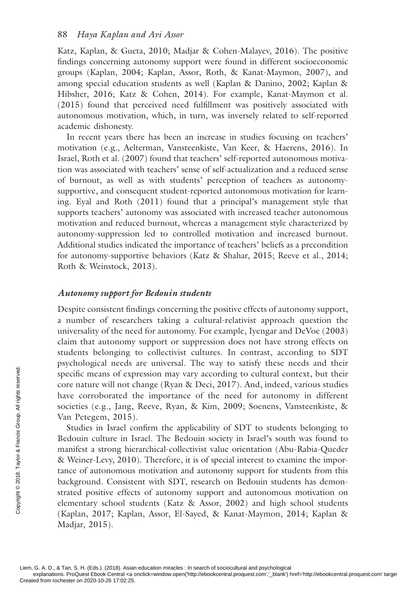Katz, Kaplan, & Gueta, 2010; Madjar & Cohen-Malayev, 2016). The positive findings concerning autonomy support were found in different socioeconomic groups ( Kaplan, 2004 ; Kaplan, Assor, Roth, & Kanat-Maymon, 2007 ), and among special education students as well (Kaplan & Danino, 2002; Kaplan & Hibsher, 2016; Katz & Cohen, 2014). For example, Kanat-Maymon et al.  $(2015)$  found that perceived need fulfillment was positively associated with autonomous motivation, which, in turn, was inversely related to self-reported academic dishonesty.

In recent years there has been an increase in studies focusing on teachers' motivation (e.g., Aelterman, Vansteenkiste, Van Keer, & Haerens, 2016 ). In Israel, Roth et al. (2007 ) found that teachers' self-reported autonomous motivation was associated with teachers' sense of self-actualization and a reduced sense of burnout, as well as with students' perception of teachers as autonomysupportive, and consequent student-reported autonomous motivation for learning. Eyal and Roth (2011) found that a principal's management style that supports teachers' autonomy was associated with increased teacher autonomous motivation and reduced burnout, whereas a management style characterized by autonomy-suppression led to controlled motivation and increased burnout. Additional studies indicated the importance of teachers' beliefs as a precondition for autonomy-supportive behaviors (Katz & Shahar, 2015; Reeve et al., 2014; Roth & Weinstock, 2013 ).

## *Autonomy support for Bedouin students*

Despite consistent findings concerning the positive effects of autonomy support, a number of researchers taking a cultural-relativist approach question the universality of the need for autonomy. For example, Iyengar and DeVoe (2003 ) claim that autonomy support or suppression does not have strong effects on students belonging to collectivist cultures. In contrast, according to SDT psychological needs are universal. The way to satisfy these needs and their specific means of expression may vary according to cultural context, but their core nature will not change ( Ryan & Deci, 2017 ). And, indeed, various studies have corroborated the importance of the need for autonomy in different societies (e.g., Jang, Reeve, Ryan, & Kim, 2009 ; Soenens, Vansteenkiste, & Van Petegem, 2015 ).

Studies in Israel confirm the applicability of SDT to students belonging to Bedouin culture in Israel. The Bedouin society in Israel's south was found to manifest a strong hierarchical-collectivist value orientation ( Abu-Rabia-Queder & Weiner-Levy, 2010 ). Therefore, it is of special interest to examine the importance of autonomous motivation and autonomy support for students from this background. Consistent with SDT, research on Bedouin students has demonstrated positive effects of autonomy support and autonomous motivation on elementary school students (Katz & Assor, 2002) and high school students (Kaplan, 2017; Kaplan, Assor, El-Sayed, & Kanat-Maymon, 2014; Kaplan & Madjar, 2015 ). From rocesses and the specific means of exponenting the societies (e.g., Jang, Van Petegem, 2015)<br>
Studies in Israel contract Created for the specific state of autonomous<br>
bedween Francis a strong hierday<br>
specific a stro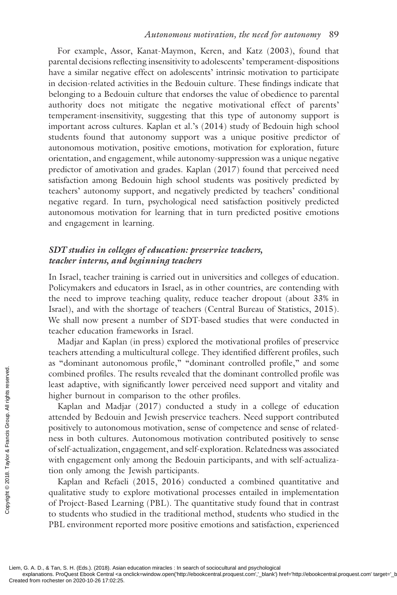For example, Assor, Kanat-Maymon, Keren, and Katz (2003), found that parental decisions reflecting insensitivity to adolescents' temperament-dispositions have a similar negative effect on adolescents' intrinsic motivation to participate in decision-related activities in the Bedouin culture. These findings indicate that belonging to a Bedouin culture that endorses the value of obedience to parental authority does not mitigate the negative motivational effect of parents' temperament-insensitivity, suggesting that this type of autonomy support is important across cultures. Kaplan et al.'s (2014 ) study of Bedouin high school students found that autonomy support was a unique positive predictor of autonomous motivation, positive emotions, motivation for exploration, future orientation, and engagement, while autonomy-suppression was a unique negative predictor of amotivation and grades. Kaplan (2017 ) found that perceived need satisfaction among Bedouin high school students was positively predicted by teachers' autonomy support, and negatively predicted by teachers' conditional negative regard. In turn, psychological need satisfaction positively predicted autonomous motivation for learning that in turn predicted positive emotions and engagement in learning.

# *SDT studies in colleges of education: preservice teachers, teacher interns, and beginning teachers*

In Israel, teacher training is carried out in universities and colleges of education. Policymakers and educators in Israel, as in other countries, are contending with the need to improve teaching quality, reduce teacher dropout (about 33% in Israel), and with the shortage of teachers ( Central Bureau of Statistics, 2015 ). We shall now present a number of SDT-based studies that were conducted in teacher education frameworks in Israel.

Madjar and Kaplan (in press) explored the motivational profiles of preservice teachers attending a multicultural college. They identified different profiles, such as "dominant autonomous profile," "dominant controlled profile," and some combined profiles. The results revealed that the dominant controlled profile was least adaptive, with significantly lower perceived need support and vitality and higher burnout in comparison to the other profiles.

Kaplan and Madjar (2017) conducted a study in a college of education attended by Bedouin and Jewish preservice teachers. Need support contributed positively to autonomous motivation, sense of competence and sense of relatedness in both cultures. Autonomous motivation contributed positively to sense of self-actualization, engagement, and self-exploration. Relatedness was associated with engagement only among the Bedouin participants, and with self-actualization only among the Jewish participants. From From Francis Created from rochester on 2020-10-26 17:02:25.<br>
Created from rochester on 2020-10-26 17:02:25.<br>
Created from rochester on 2020-10-26 17:02:25.<br>
Created from rochester on 2020-10-26 17:02:25.<br>
Created fro

Kaplan and Refaeli (2015, 2016) conducted a combined quantitative and qualitative study to explore motivational processes entailed in implementation of Project-Based Learning (PBL). The quantitative study found that in contrast to students who studied in the traditional method, students who studied in the PBL environment reported more positive emotions and satisfaction, experienced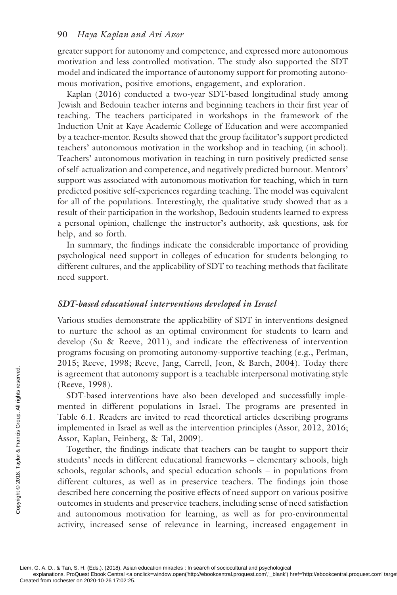greater support for autonomy and competence, and expressed more autonomous motivation and less controlled motivation. The study also supported the SDT model and indicated the importance of autonomy support for promoting autonomous motivation, positive emotions, engagement, and exploration.

Kaplan (2016) conducted a two-year SDT-based longitudinal study among Jewish and Bedouin teacher interns and beginning teachers in their first year of teaching. The teachers participated in workshops in the framework of the Induction Unit at Kaye Academic College of Education and were accompanied by a teacher-mentor. Results showed that the group facilitator's support predicted teachers' autonomous motivation in the workshop and in teaching (in school). Teachers' autonomous motivation in teaching in turn positively predicted sense of self-actualization and competence, and negatively predicted burnout. Mentors' support was associated with autonomous motivation for teaching, which in turn predicted positive self-experiences regarding teaching. The model was equivalent for all of the populations. Interestingly, the qualitative study showed that as a result of their participation in the workshop, Bedouin students learned to express a personal opinion, challenge the instructor's authority, ask questions, ask for help, and so forth.

In summary, the findings indicate the considerable importance of providing psychological need support in colleges of education for students belonging to different cultures, and the applicability of SDT to teaching methods that facilitate need support.

#### *SDT-based educational interventions developed in Israel*

Various studies demonstrate the applicability of SDT in interventions designed to nurture the school as an optimal environment for students to learn and develop (Su & Reeve, 2011), and indicate the effectiveness of intervention programs focusing on promoting autonomy-supportive teaching (e.g., Perlman, 2015; Reeve, 1998; Reeve, Jang, Carrell, Jeon, & Barch, 2004). Today there is agreement that autonomy support is a teachable interpersonal motivating style (Reeve, 1998).

SDT-based interventions have also been developed and successfully implemented in different populations in Israel. The programs are presented in Table 6.1 . Readers are invited to read theoretical articles describing programs implemented in Israel as well as the intervention principles (Assor, 2012, 2016; Assor, Kaplan, Feinberg, & Tal, 2009 ).

Together, the findings indicate that teachers can be taught to support their students' needs in different educational frameworks – elementary schools, high schools, regular schools, and special education schools – in populations from different cultures, as well as in preservice teachers. The findings join those described here concerning the positive effects of need support on various positive outcomes in students and preservice teachers, including sense of need satisfaction and autonomous motivation for learning, as well as for pro-environmental activity, increased sense of relevance in learning, increased engagement in Example 1988<br>
Sample (Reeve, 1998).<br>
SDT-based interve<br>
mented in different<br>
Table 6.1. Readers at<br>
implemented in Israe<br>
Assor, Kaplan, Feinbor<br>
Together, the findi<br>
students' needs in different cultures, as<br>
described h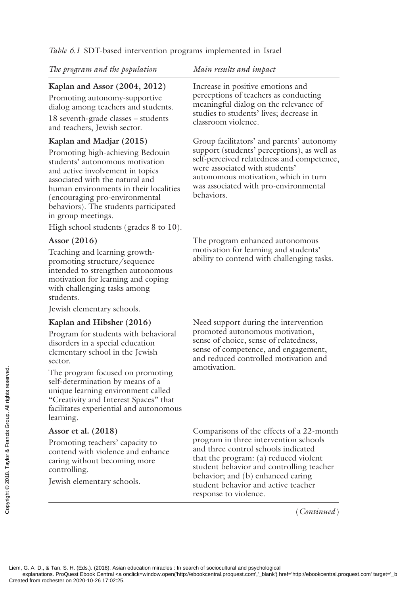*The program and the population Main results and impact* 

# **Kaplan and Assor (2004, 2012)**

 Promoting autonomy-supportive dialog among teachers and students.

 18 seventh-grade classes – students and teachers, Jewish sector.

## **Kaplan and Madjar (2015)**

 Promoting high-achieving Bedouin students' autonomous motivation and active involvement in topics associated with the natural and human environments in their localities (encouraging pro-environmental behaviors). The students participated in group meetings.

High school students (grades 8 to 10).

## **Assor (2016)**

 Teaching and learning growthpromoting structure/sequence intended to strengthen autonomous motivation for learning and coping with challenging tasks among students.

Jewish elementary schools.

#### **Kaplan and Hibsher (2016)**

 Program for students with behavioral disorders in a special education elementary school in the Jewish sector.

 The program focused on promoting self-determination by means of a unique learning environment called "Creativity and Interest Spaces" that facilitates experiential and autonomous learning. The program focused<br>self-determination by<br>unique learning enviror<br>"Creativity and Intere<br>facilitates experiential<br>learning.<br>Assor et al. (2018)<br>Promoting teachers' contend with violence<br>caring without becom<br>controlling.<br>J

#### **Assor et al. (2018)**

 Promoting teachers' capacity to contend with violence and enhance caring without becoming more controlling.

Jewish elementary schools.

 Increase in positive emotions and perceptions of teachers as conducting meaningful dialog on the relevance of studies to students' lives; decrease in classroom violence.

 Group facilitators' and parents' autonomy support (students' perceptions), as well as self-perceived relatedness and competence, were associated with students' autonomous motivation, which in turn was associated with pro-environmental behaviors.

 The program enhanced autonomous motivation for learning and students' ability to contend with challenging tasks.

 Need support during the intervention promoted autonomous motivation, sense of choice, sense of relatedness, sense of competence, and engagement, and reduced controlled motivation and amotivation.

Comparisons of the effects of a 22-month program in three intervention schools and three control schools indicated that the program: (a) reduced violent student behavior and controlling teacher behavior; and (b) enhanced caring student behavior and active teacher response to violence.

(*Continued* )

Liem, G. A. D., & Tan, S. H. (Eds.). (2018). Asian education miracles : In search of sociocultural and psychological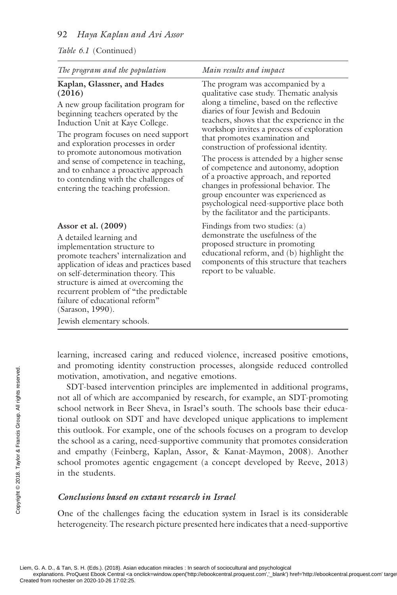#### *Table 6.1* (Continued)

| The program and the population                                                                                                                                                                                                                                                                                                                                                                                                      | Main results and impact                                                                                                                                                                                                                                                                                                                                                                                                                                                                                                                                                                                                                     |
|-------------------------------------------------------------------------------------------------------------------------------------------------------------------------------------------------------------------------------------------------------------------------------------------------------------------------------------------------------------------------------------------------------------------------------------|---------------------------------------------------------------------------------------------------------------------------------------------------------------------------------------------------------------------------------------------------------------------------------------------------------------------------------------------------------------------------------------------------------------------------------------------------------------------------------------------------------------------------------------------------------------------------------------------------------------------------------------------|
| Kaplan, Glassner, and Hades<br>(2016)<br>A new group facilitation program for<br>beginning teachers operated by the<br>Induction Unit at Kaye College.<br>The program focuses on need support<br>and exploration processes in order<br>to promote autonomous motivation<br>and sense of competence in teaching,<br>and to enhance a proactive approach<br>to contending with the challenges of<br>entering the teaching profession. | The program was accompanied by a<br>qualitative case study. Thematic analysis<br>along a timeline, based on the reflective<br>diaries of four Jewish and Bedouin<br>teachers, shows that the experience in the<br>workshop invites a process of exploration<br>that promotes examination and<br>construction of professional identity.<br>The process is attended by a higher sense<br>of competence and autonomy, adoption<br>of a proactive approach, and reported<br>changes in professional behavior. The<br>group encounter was experienced as<br>psychological need-supportive place both<br>by the facilitator and the participants. |
| Assor et al. $(2009)$<br>A detailed learning and<br>implementation structure to<br>promote teachers' internalization and<br>application of ideas and practices based<br>on self-determination theory. This<br>structure is aimed at overcoming the<br>recurrent problem of "the predictable"<br>failure of educational reform"<br>(Sarason, 1990).<br>Jewish elementary schools.                                                    | Findings from two studies: (a)<br>demonstrate the usefulness of the<br>proposed structure in promoting<br>educational reform, and (b) highlight the<br>components of this structure that teachers<br>report to be valuable.                                                                                                                                                                                                                                                                                                                                                                                                                 |

learning, increased caring and reduced violence, increased positive emotions, and promoting identity construction processes, alongside reduced controlled motivation, amotivation, and negative emotions.

SDT-based intervention principles are implemented in additional programs, not all of which are accompanied by research, for example, an SDT-promoting school network in Beer Sheva, in Israel's south. The schools base their educational outlook on SDT and have developed unique applications to implement this outlook. For example, one of the schools focuses on a program to develop the school as a caring, need-supportive community that promotes consideration and empathy (Feinberg, Kaplan, Assor, & Kanat-Maymon, 2008). Another school promotes agentic engagement (a concept developed by Reeve, 2013) in the students. Example and promoting identity<br>
SDT-based interve<br>
not all of which are a<br>
school network in Be<br>
tional outlook on SL<br>
this outlook. For example and empathy (Feinb<br>
school promotes age<br>
in the students.<br>
Se in the students

#### *Conclusions based on extant research in Israel*

One of the challenges facing the education system in Israel is its considerable heterogeneity. The research picture presented here indicates that a need- supportive

Liem, G. A. D., & Tan, S. H. (Eds.). (2018). Asian education miracles : In search of sociocultural and psychological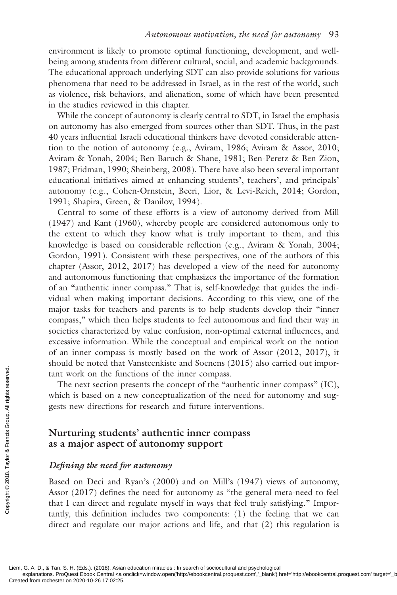environment is likely to promote optimal functioning, development, and wellbeing among students from different cultural, social, and academic backgrounds. The educational approach underlying SDT can also provide solutions for various phenomena that need to be addressed in Israel, as in the rest of the world, such as violence, risk behaviors, and alienation, some of which have been presented in the studies reviewed in this chapter.

While the concept of autonomy is clearly central to SDT, in Israel the emphasis on autonomy has also emerged from sources other than SDT. Thus, in the past 40 years influential Israeli educational thinkers have devoted considerable attention to the notion of autonomy (e.g., Aviram, 1986; Aviram & Assor, 2010; Aviram & Yonah, 2004; Ben Baruch & Shane, 1981; Ben-Peretz & Ben Zion, 1987; Fridman, 1990; Sheinberg, 2008). There have also been several important educational initiatives aimed at enhancing students', teachers', and principals' autonomy (e.g., Cohen-Ornstein, Beeri, Lior, & Levi-Reich, 2014 ; Gordon, 1991; Shapira, Green, & Danilov, 1994).

Central to some of these efforts is a view of autonomy derived from Mill (1947 ) and Kant (1960 ), whereby people are considered autonomous only to the extent to which they know what is truly important to them, and this knowledge is based on considerable reflection (e.g., Aviram & Yonah,  $2004$ ; Gordon, 1991). Consistent with these perspectives, one of the authors of this chapter (Assor, 2012, 2017) has developed a view of the need for autonomy and autonomous functioning that emphasizes the importance of the formation of an "authentic inner compass." That is, self-knowledge that guides the individual when making important decisions. According to this view, one of the major tasks for teachers and parents is to help students develop their "inner compass," which then helps students to feel autonomous and find their way in societies characterized by value confusion, non-optimal external influences, and excessive information. While the conceptual and empirical work on the notion of an inner compass is mostly based on the work of Assor (2012, 2017), it should be noted that Vansteenkiste and Soenens (2015 ) also carried out important work on the functions of the inner compass.

The next section presents the concept of the "authentic inner compass" (IC), which is based on a new conceptualization of the need for autonomy and suggests new directions for research and future interventions.

# **Nurturing students' authentic inner compass as a major aspect of autonomy support**

#### *Defi ning the need for autonomy*

Based on Deci and Ryan's (2000) and on Mill's (1947) views of autonomy, Assor  $(2017)$  defines the need for autonomy as "the general meta-need to feel that I can direct and regulate myself in ways that feel truly satisfying." Importantly, this definition includes two components:  $(1)$  the feeling that we can direct and regulate our major actions and life, and that (2) this regulation is Example 1<br>
Created from rochester on 2020-10-26 17:02:25.<br>
Created from rochester on 2020-10-26 17:02:25.<br>
Created from rochester on 2020-10-26 17:02:25.<br>
Created from rochester on 2020-10-26 17:02:25.

Liem, G. A. D., & Tan, S. H. (Eds.). (2018). Asian education miracles : In search of sociocultural and psychological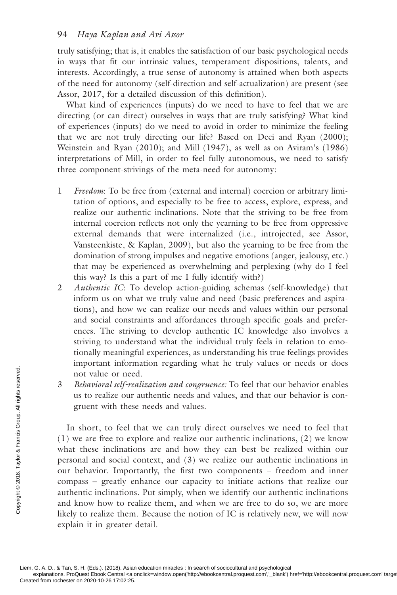truly satisfying; that is, it enables the satisfaction of our basic psychological needs in ways that fit our intrinsic values, temperament dispositions, talents, and interests. Accordingly, a true sense of autonomy is attained when both aspects of the need for autonomy (self-direction and self-actualization) are present (see Assor, 2017, for a detailed discussion of this definition).

What kind of experiences (inputs) do we need to have to feel that we are directing (or can direct) ourselves in ways that are truly satisfying? What kind of experiences (inputs) do we need to avoid in order to minimize the feeling that we are not truly directing our life? Based on Deci and Ryan (2000); Weinstein and Ryan  $(2010)$ ; and Mill  $(1947)$ , as well as on Aviram's  $(1986)$ interpretations of Mill, in order to feel fully autonomous, we need to satisfy three component-strivings of the meta-need for autonomy:

- 1 *Freedom*: To be free from (external and internal) coercion or arbitrary limitation of options, and especially to be free to access, explore, express, and realize our authentic inclinations. Note that the striving to be free from internal coercion reflects not only the yearning to be free from oppressive external demands that were internalized (i.e., introjected, see Assor, Vansteenkiste, & Kaplan, 2009 ), but also the yearning to be free from the domination of strong impulses and negative emotions (anger, jealousy, etc.) that may be experienced as overwhelming and perplexing (why do I feel this way? Is this a part of me I fully identify with?)
- 2 *Authentic IC*: To develop action-guiding schemas (self-knowledge) that inform us on what we truly value and need (basic preferences and aspirations), and how we can realize our needs and values within our personal and social constraints and affordances through specific goals and preferences. The striving to develop authentic IC knowledge also involves a striving to understand what the individual truly feels in relation to emotionally meaningful experiences, as understanding his true feelings provides important information regarding what he truly values or needs or does not value or need.
- 3 *Behavioral self-realization and congruence:* To feel that our behavior enables us to realize our authentic needs and values, and that our behavior is congruent with these needs and values.

In short, to feel that we can truly direct ourselves we need to feel that (1) we are free to explore and realize our authentic inclinations, (2) we know what these inclinations are and how they can best be realized within our personal and social context, and (3) we realize our authentic inclinations in our behavior. Importantly, the first two components – freedom and inner compass – greatly enhance our capacity to initiate actions that realize our authentic inclinations. Put simply, when we identify our authentic inclinations and know how to realize them, and when we are free to do so, we are more likely to realize them. Because the notion of IC is relatively new, we will now explain it in greater detail. From rocket and the contract on 2020-10-26 17:02:25.<br>
Created from rochester on 2020-10-26 17:02:25.<br>
Created from rochester on 2020-10-26 17:02:25.<br>
Created from rochester on 2020-10-26 17:02:25.

Liem, G. A. D., & Tan, S. H. (Eds.). (2018). Asian education miracles : In search of sociocultural and psychological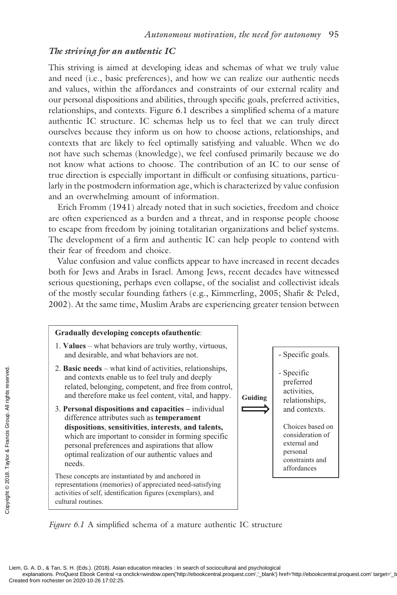# *The striving for an authentic IC*

This striving is aimed at developing ideas and schemas of what we truly value and need (i.e., basic preferences), and how we can realize our authentic needs and values, within the affordances and constraints of our external reality and our personal dispositions and abilities, through specific goals, preferred activities, relationships, and contexts. Figure 6.1 describes a simplified schema of a mature authentic IC structure. IC schemas help us to feel that we can truly direct ourselves because they inform us on how to choose actions, relationships, and contexts that are likely to feel optimally satisfying and valuable. When we do not have such schemas (knowledge), we feel confused primarily because we do not know what actions to choose. The contribution of an IC to our sense of true direction is especially important in difficult or confusing situations, particularly in the postmodern information age, which is characterized by value confusion and an overwhelming amount of information.

Erich Fromm (1941) already noted that in such societies, freedom and choice are often experienced as a burden and a threat, and in response people choose to escape from freedom by joining totalitarian organizations and belief systems. The development of a firm and authentic IC can help people to contend with their fear of freedom and choice.

Value confusion and value conflicts appear to have increased in recent decades both for Jews and Arabs in Israel. Among Jews, recent decades have witnessed serious questioning, perhaps even collapse, of the socialist and collectivist ideals of the mostly secular founding fathers (e.g., Kimmerling, 2005; Shafir & Peled, 2002 ). At the same time, Muslim Arabs are experiencing greater tension between

#### **Gradually developing concepts ofauthentic**:

- 1. **Values**  what behaviors are truly worthy, virtuous, and desirable, and what behaviors are not.
- 2. **Basic needs**  what kind of activities, relationships, and contexts enable us to feel truly and deeply related, belonging, competent, and free from control, and therefore make us feel content, vital, and happy.
- 3. **Personal dispositions and capacities** individual difference attributes such as **temperament dispositions**, **sensitivities**, **interests**, **and talents,** which are important to consider in forming specific personal preferences and aspirations that allow optimal realization of our authentic values and needs. Exercise the and contexts enable<br>
and contexts enable<br>
related, belonging,<br>
related, belonging,<br>
and therefore make<br>
dispositions, sensi<br>
which are important<br>
dispositions, sensi<br>
which are important<br>
personal preference<br>

These concepts are instantiated by and anchored in representations (memories) of appreciated need-satisfying activities of self, identification figures (exemplars), and cultural routines.



*Figure 6.1* A simplified schema of a mature authentic IC structure

Liem, G. A. D., & Tan, S. H. (Eds.). (2018). Asian education miracles : In search of sociocultural and psychological explanations. ProQuest Ebook Central <a onclick=window.open('http://ebookcentral.proquest.com','\_blank') href='http://ebookcentral.proquest.com' targe<br>Created from rochester on 2020-10-26 17:02:25.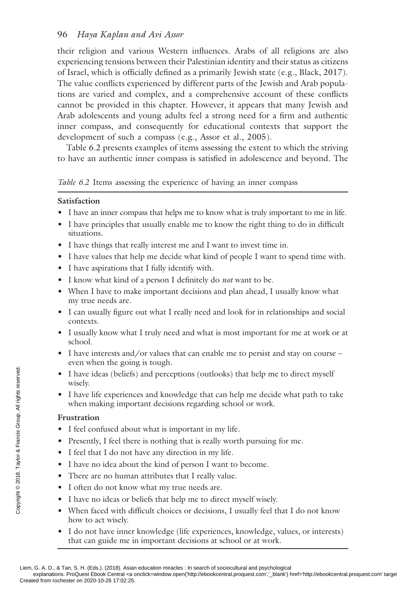their religion and various Western influences. Arabs of all religions are also experiencing tensions between their Palestinian identity and their status as citizens of Israel, which is officially defined as a primarily Jewish state (e.g., Black,  $2017$ ). The value conflicts experienced by different parts of the Jewish and Arab populations are varied and complex, and a comprehensive account of these conflicts cannot be provided in this chapter. However, it appears that many Jewish and Arab adolescents and young adults feel a strong need for a firm and authentic inner compass, and consequently for educational contexts that support the development of such a compass (e.g., Assor et al., 2005).

Table 6.2 presents examples of items assessing the extent to which the striving to have an authentic inner compass is satisfied in adolescence and beyond. The

## *Table 6.2* Items assessing the experience of having an inner compass

## **Satisfaction**

- I have an inner compass that helps me to know what is truly important to me in life.
- I have principles that usually enable me to know the right thing to do in difficult situations.
- I have things that really interest me and I want to invest time in.
- I have values that help me decide what kind of people I want to spend time with.
- I have aspirations that I fully identify with.
- I know what kind of a person I definitely do *not* want to be.
- When I have to make important decisions and plan ahead, I usually know what my true needs are.
- I can usually figure out what I really need and look for in relationships and social contexts.
- I usually know what I truly need and what is most important for me at work or at school.
- I have interests and/or values that can enable me to persist and stay on course even when the going is tough.
- I have ideas (beliefs) and perceptions (outlooks) that help me to direct myself wisely.
- I have life experiences and knowledge that can help me decide what path to take when making important decisions regarding school or work.

# **Frustration**

- I feel confused about what is important in my life.
- Presently, I feel there is nothing that is really worth pursuing for me.
- I feel that I do not have any direction in my life.
- I have no idea about the kind of person I want to become.
- There are no human attributes that I really value.
- I often do not know what my true needs are.
- I have no ideas or beliefs that help me to direct myself wisely.
- When faced with difficult choices or decisions, I usually feel that I do not know how to act wisely.
- I do not have inner knowledge (life experiences, knowledge, values, or interests) that can guide me in important decisions at school or at work.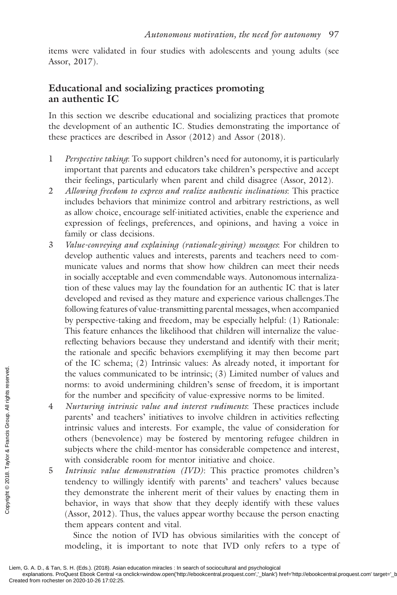items were validated in four studies with adolescents and young adults (see Assor, 2017).

# **Educational and socializing practices promoting an authentic IC**

In this section we describe educational and socializing practices that promote the development of an authentic IC. Studies demonstrating the importance of these practices are described in Assor (2012) and Assor (2018).

- 1 *Perspective taking*: To support children's need for autonomy, it is particularly important that parents and educators take children's perspective and accept their feelings, particularly when parent and child disagree (Assor, 2012).
- 2 *Allowing freedom to express and realize authentic inclinations*: This practice includes behaviors that minimize control and arbitrary restrictions, as well as allow choice, encourage self-initiated activities, enable the experience and expression of feelings, preferences, and opinions, and having a voice in family or class decisions.
- 3 *Value-conveying and explaining (rationale-giving) messages*: For children to develop authentic values and interests, parents and teachers need to communicate values and norms that show how children can meet their needs in socially acceptable and even commendable ways. Autonomous internalization of these values may lay the foundation for an authentic IC that is later developed and revised as they mature and experience various challenges.The following features of value-transmitting parental messages, when accompanied by perspective-taking and freedom, may be especially helpful: (1) Rationale: This feature enhances the likelihood that children will internalize the valuereflecting behaviors because they understand and identify with their merit; the rationale and specific behaviors exemplifying it may then become part of the IC schema; (2) Intrinsic values: As already noted, it important for the values communicated to be intrinsic; (3) Limited number of values and norms: to avoid undermining children's sense of freedom, it is important for the number and specificity of value-expressive norms to be limited.
- 4 *Nurturing intrinsic value and interest rudiments*: These practices include parents' and teachers' initiatives to involve children in activities reflecting intrinsic values and interests. For example, the value of consideration for others (benevolence) may be fostered by mentoring refugee children in subjects where the child-mentor has considerable competence and interest, with considerable room for mentor initiative and choice. The values comm<br>
norms: to avoid<br>
for the number<br>
for the number<br>
for the number<br>
for the number<br>
parents' and tea<br>
intrinsic values<br>
of the intrinsic values<br>
of these (benevole)<br>
subjects where the with considerable<br>
ten
	- 5 *Intrinsic value demonstration (IVD)*: This practice promotes children's tendency to willingly identify with parents' and teachers' values because they demonstrate the inherent merit of their values by enacting them in behavior, in ways that show that they deeply identify with these values (Assor, 2012). Thus, the values appear worthy because the person enacting them appears content and vital.

 Since the notion of IVD has obvious similarities with the concept of modeling, it is important to note that IVD only refers to a type of

explanations. ProQuest Ebook Central <a onclick=window.open('http://ebookcentral.proquest.com','\_blank') href='http://ebookcentral.proquest.com' targe<br>Created from rochester on 2020-10-26 17:02:25.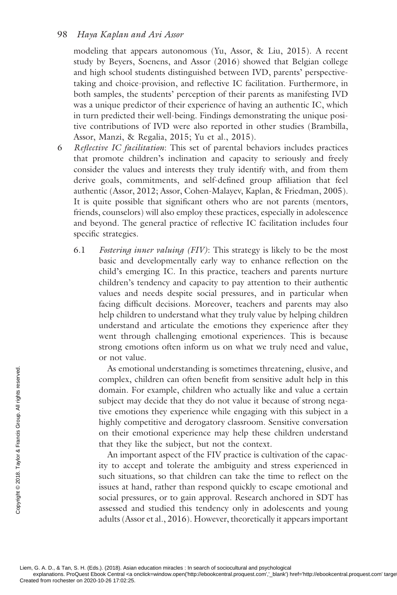#### 98 *Haya Kaplan and Avi Assor*

modeling that appears autonomous (Yu, Assor, & Liu, 2015). A recent study by Beyers, Soenens, and Assor (2016 ) showed that Belgian college and high school students distinguished between IVD, parents' perspectivetaking and choice-provision, and reflective IC facilitation. Furthermore, in both samples, the students' perception of their parents as manifesting IVD was a unique predictor of their experience of having an authentic IC, which in turn predicted their well-being. Findings demonstrating the unique positive contributions of IVD were also reported in other studies ( Brambilla, Assor, Manzi, & Regalia, 2015 ; Yu et al., 2015 ).

- 6 *Refl ective IC facilitation*: This set of parental behaviors includes practices that promote children's inclination and capacity to seriously and freely consider the values and interests they truly identify with, and from them derive goals, commitments, and self-defined group affiliation that feel authentic (Assor, 2012; Assor, Cohen-Malayev, Kaplan, & Friedman, 2005). It is quite possible that significant others who are not parents (mentors, friends, counselors) will also employ these practices, especially in adolescence and beyond. The general practice of reflective IC facilitation includes four specific strategies.
	- 6.1 *Fostering inner valuing (FIV)*: This strategy is likely to be the most basic and developmentally early way to enhance reflection on the child's emerging IC. In this practice, teachers and parents nurture children's tendency and capacity to pay attention to their authentic values and needs despite social pressures, and in particular when facing difficult decisions. Moreover, teachers and parents may also help children to understand what they truly value by helping children understand and articulate the emotions they experience after they went through challenging emotional experiences. This is because strong emotions often inform us on what we truly need and value, or not value.

 As emotional understanding is sometimes threatening, elusive, and complex, children can often benefit from sensitive adult help in this domain. For example, children who actually like and value a certain subject may decide that they do not value it because of strong negative emotions they experience while engaging with this subject in a highly competitive and derogatory classroom. Sensitive conversation on their emotional experience may help these children understand that they like the subject, but not the context. The proposed is the complex, domain. Full complex, domain. Full of the complex, domain. Full subject matrice enotial intereserved.<br>
Full rights respective enotial highly conduct that they all right of accuracion of the se

 An important aspect of the FIV practice is cultivation of the capacity to accept and tolerate the ambiguity and stress experienced in such situations, so that children can take the time to reflect on the issues at hand, rather than respond quickly to escape emotional and social pressures, or to gain approval. Research anchored in SDT has assessed and studied this tendency only in adolescents and young adults ( Assor et al., 2016 ). However, theoretically it appears important

Liem, G. A. D., & Tan, S. H. (Eds.). (2018). Asian education miracles : In search of sociocultural and psychological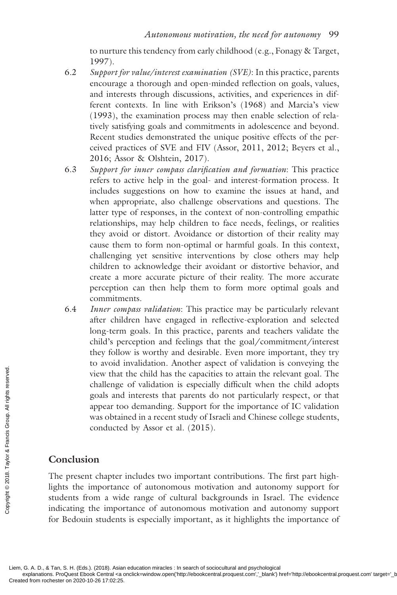to nurture this tendency from early childhood (e.g., Fonagy & Target, 1997).

- 6.2 *Support for value/interest examination (SVE)*: In this practice, parents encourage a thorough and open-minded reflection on goals, values, and interests through discussions, activities, and experiences in different contexts. In line with Erikson's (1968) and Marcia's view (1993), the examination process may then enable selection of relatively satisfying goals and commitments in adolescence and beyond. Recent studies demonstrated the unique positive effects of the perceived practices of SVE and FIV (Assor, 2011, 2012; Beyers et al., 2016; Assor & Olshtein, 2017).
- 6.3 Support for inner compass clarification and formation: This practice refers to active help in the goal- and interest-formation process. It includes suggestions on how to examine the issues at hand, and when appropriate, also challenge observations and questions. The latter type of responses, in the context of non-controlling empathic relationships, may help children to face needs, feelings, or realities they avoid or distort. Avoidance or distortion of their reality may cause them to form non-optimal or harmful goals. In this context, challenging yet sensitive interventions by close others may help children to acknowledge their avoidant or distortive behavior, and create a more accurate picture of their reality. The more accurate perception can then help them to form more optimal goals and commitments.
- 6.4 *Inner compass validation*: This practice may be particularly relevant after children have engaged in reflective-exploration and selected long-term goals. In this practice, parents and teachers validate the child's perception and feelings that the goal/commitment/interest they follow is worthy and desirable. Even more important, they try to avoid invalidation. Another aspect of validation is conveying the view that the child has the capacities to attain the relevant goal. The challenge of validation is especially difficult when the child adopts goals and interests that parents do not particularly respect, or that appear too demanding. Support for the importance of IC validation was obtained in a recent study of Israeli and Chinese college students, conducted by Assor et al. (2015).

# **Conclusion**

The present chapter includes two important contributions. The first part highlights the importance of autonomous motivation and autonomy support for students from a wide range of cultural backgrounds in Israel. The evidence indicating the importance of autonomous motivation and autonomy support for Bedouin students is especially important, as it highlights the importance of From rockets and the conduction of the created from rochester on 2020-10-26 17:02:25.<br>Created from rochester on 2020-10-26 17:02:25.<br>Created from rochester on 2020-10-26 17:02:25.

Liem, G. A. D., & Tan, S. H. (Eds.). (2018). Asian education miracles : In search of sociocultural and psychological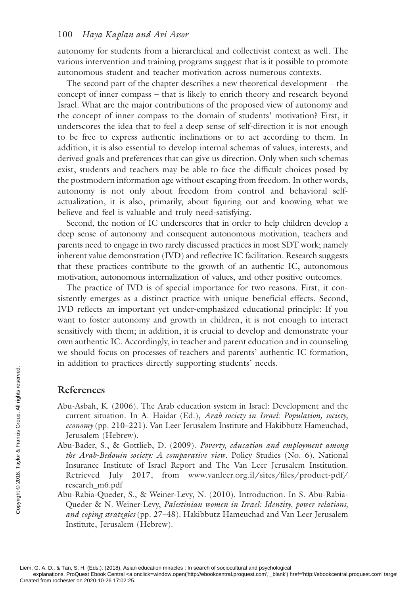autonomy for students from a hierarchical and collectivist context as well. The various intervention and training programs suggest that is it possible to promote autonomous student and teacher motivation across numerous contexts.

The second part of the chapter describes a new theoretical development – the concept of inner compass – that is likely to enrich theory and research beyond Israel. What are the major contributions of the proposed view of autonomy and the concept of inner compass to the domain of students' motivation? First, it underscores the idea that to feel a deep sense of self-direction it is not enough to be free to express authentic inclinations or to act according to them. In addition, it is also essential to develop internal schemas of values, interests, and derived goals and preferences that can give us direction. Only when such schemas exist, students and teachers may be able to face the difficult choices posed by the postmodern information age without escaping from freedom. In other words, autonomy is not only about freedom from control and behavioral selfactualization, it is also, primarily, about figuring out and knowing what we believe and feel is valuable and truly need-satisfying.

Second, the notion of IC underscores that in order to help children develop a deep sense of autonomy and consequent autonomous motivation, teachers and parents need to engage in two rarely discussed practices in most SDT work; namely inherent value demonstration  $(IVD)$  and reflective IC facilitation. Research suggests that these practices contribute to the growth of an authentic IC, autonomous motivation, autonomous internalization of values, and other positive outcomes.

The practice of IVD is of special importance for two reasons. First, it consistently emerges as a distinct practice with unique beneficial effects. Second, IVD reflects an important yet under-emphasized educational principle: If you want to foster autonomy and growth in children, it is not enough to interact sensitively with them; in addition, it is crucial to develop and demonstrate your own authentic IC. Accordingly, in teacher and parent education and in counseling we should focus on processes of teachers and parents' authentic IC formation, in addition to practices directly supporting students' needs.

#### **References**

- Abu-Asbah, K. (2006). The Arab education system in Israel: Development and the current situation. In A. Haidar (Ed.), *Arab society in Israel: Population, society, economy* (pp. 210–221). Van Leer Jerusalem Institute and Hakibbutz Hameuchad, Jerusalem (Hebrew).
- Abu-Bader, S., & Gottlieb, D. (2009). *Poverty, education and employment among the Arab-Bedouin society: A comparative view*. Policy Studies (No. 6), National Insurance Institute of Israel Report and The Van Leer Jerusalem Institution. Retrieved July 2017, from www.vanleer.org.il/sites/files/product-pdf/ [research\\_m6.pdf](http://www.vanleer.org.il) **Created from rockets reserved.**<br>
Coreally, and the *economy* (pp. 210–22<br> *Creation Reconomy* (pp. 210–22<br> *Creation Creation Creation Creation Solution Scales in the Arab-Bedouin scales*<br> *Creation Creation Creation Cre* 
	- Abu-Rabia-Queder, S., & Weiner-Levy, N. (2010). Introduction. In S. Abu-Rabia-Queder & N. Weiner-Levy, *Palestinian women in Israel: Identity, power relations, and coping strategies* (pp. 27–48). Hakibbutz Hameuchad and Van Leer Jerusalem Institute, Jerusalem (Hebrew).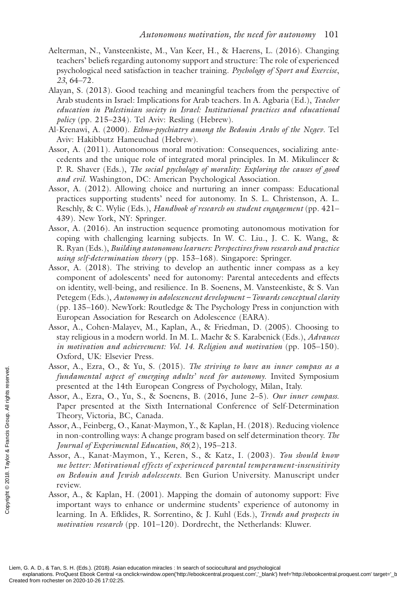- Aelterman, N., Vansteenkiste, M., Van Keer, H., & Haerens, L. (2016). Changing teachers' beliefs regarding autonomy support and structure: The role of experienced psychological need satisfaction in teacher training. *Psychology of Sport and Exercise* , *23* , 64–72.
- Alayan, S. (2013). Good teaching and meaningful teachers from the perspective of Arab students in Israel: Implications for Arab teachers. In A. Agbaria (Ed.), *Teacher education in Palestinian society in Israel: Institutional practices and educational policy* (pp. 215–234). Tel Aviv: Resling (Hebrew).
- Al-Krenawi, A. (2000). *Ethno-psychiatry among the Bedouin Arabs of the Negev*. Tel Aviv: Hakibbutz Hameuchad (Hebrew).
- Assor, A. (2011). Autonomous moral motivation: Consequences, socializing antecedents and the unique role of integrated moral principles. In M. Mikulincer & P. R. Shaver (Eds.), *The social psychology of morality: Exploring the causes of good and evil*. Washington, DC: American Psychological Association.
- Assor, A. (2012). Allowing choice and nurturing an inner compass: Educational practices supporting students' need for autonomy. In S. L. Christenson, A. L. Reschly, & C. Wylie (Eds.), *Handbook of research on student engagement* (pp. 421– 439). New York, NY: Springer.
- Assor, A. (2016). An instruction sequence promoting autonomous motivation for coping with challenging learning subjects. In W. C. Liu., J. C. K. Wang, & R. Ryan (Eds.), *Building autonomous learners: Perspectives from research and practice using self-determination theory* (pp. 153–168). Singapore: Springer.
- Assor, A. (2018). The striving to develop an authentic inner compass as a key component of adolescents' need for autonomy: Parental antecedents and effects on identity, well-being, and resilience. In B. Soenens, M. Vansteenkiste, & S. Van Petegem (Eds.), *Autonomy in adolescencent development – Towards conceptual clarity* (pp. 135–160). NewYork: Routledge & The Psychology Press in conjunction with European Association for Research on Adolescence (EARA).
- Assor, A., Cohen-Malayev, M., Kaplan, A., & Friedman, D. (2005). Choosing to stay religious in a modern world. In M. L. Maehr & S. Karabenick (Eds.), *Advances in motivation and achievement: Vol. 14. Religion and motivation* (pp. 105–150). Oxford, UK: Elsevier Press.
- Assor, A., Ezra, O., & Yu, S. (2015). *The striving to have an inner compass as a fundamental aspect of emerging adults' need for autonomy*. Invited Symposium presented at the 14th European Congress of Psychology, Milan, Italy.
- Assor, A., Ezra, O., Yu, S., & Soenens, B. (2016, June 2–5). *Our inner compass* . Paper presented at the Sixth International Conference of Self-Determination Theory, Victoria, BC, Canada.
- Assor, A., Feinberg, O., Kanat-Maymon, Y., & Kaplan, H. (2018). Reducing violence in non-controlling ways: A change program based on self determination theory. *The Journal of Experimental Education* , *86* (2), 195–213.
- Assor, A., Kanat-Maymon, Y., Keren, S., & Katz, I. (2003). *You should know me better: Motivational effects of experienced parental temperament-insensitivity on Bedouin and Jewish adolescents*. Ben Gurion University. Manuscript under review.
- Assor, A., & Kaplan, H. (2001). Mapping the domain of autonomy support: Five important ways to enhance or undermine students' experience of autonomy in learning. In A. Efklides, R. Sorrentino, & J. Kuhl (Eds.), *Trends and prospects in motivation research* (pp. 101–120). Dordrecht, the Netherlands: Kluwer. Exerces for  $\overline{R}$ , Examples and the 14<br>
Assor, A., Ezra, O., 1<br>
Paper presented at the 14<br>
Assor, A., Ezra, O., 1<br>
Paper presented at<br>
Theory, Victoria, B<br>
Assor, A., Feinberg, O<br>
in non-controlling v<br>
Journal of Exper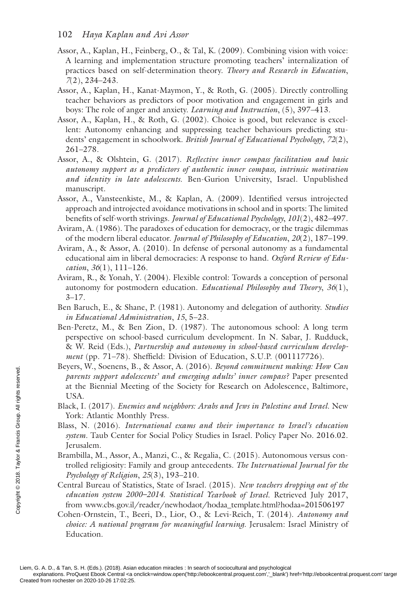- Assor, A., Kaplan, H., Feinberg, O., & Tal, K. (2009). Combining vision with voice: A learning and implementation structure promoting teachers' internalization of practices based on self-determination theory. *Theory and Research in Education*, *7* (2), 234–243.
- Assor, A., Kaplan, H., Kanat-Maymon, Y., & Roth, G. (2005). Directly controlling teacher behaviors as predictors of poor motivation and engagement in girls and boys: The role of anger and anxiety. *Learning and Instruction* , (5), 397–413.
- Assor, A., Kaplan, H., & Roth, G. (2002). Choice is good, but relevance is excellent: Autonomy enhancing and suppressing teacher behaviours predicting students' engagement in schoolwork. *British Journal of Educational Psychology*, 72(2), 261–278.
- Assor, A., & Olshtein, G. (2017). *Reflective inner compass facilitation and basic autonomy support as a predictors of authentic inner compass, intrinsic motivation and identity in late adolescents*. Ben-Gurion University, Israel. Unpublished manuscript.
- Assor, A., Vansteenkiste, M., & Kaplan, A. (2009). Identified versus introjected approach and introjected avoidance motivations in school and in sports: The limited benefits of self-worth strivings. *Journal of Educational Psychology*,  $101(2)$ , 482-497.
- Aviram, A. (1986). The paradoxes of education for democracy, or the tragic dilemmas of the modern liberal educator. *Journal of Philosophy of Education*, *20*(2), 187–199.
- Aviram, A., & Assor, A. (2010). In defense of personal autonomy as a fundamental educational aim in liberal democracies: A response to hand. *Oxford Review of Education* , *36* (1), 111–126.
- Aviram, R., & Yonah, Y. (2004). Flexible control: Towards a conception of personal autonomy for postmodern education. *Educational Philosophy and Theory*, 36(1),  $3 - 17$ .
- Ben Baruch, E., & Shane, P. (1981). Autonomy and delegation of authority. *Studies in Educational Administration*, 15, 5-23.
- Ben-Peretz, M., & Ben Zion, D. (1987). The autonomous school: A long term perspective on school-based curriculum development. In N. Sabar, J. Rudduck, & W. Reid (Eds.), *Partnership and autonomy in school-based curriculum development* (pp. 71–78). Sheffield: Division of Education, S.U.P. (001117726).
- Beyers, W., Soenens, B., & Assor, A. (2016). *Beyond commitment making: How Can parents support adolescents' and emerging adults' inner compass?* Paper presented at the Biennial Meeting of the Society for Research on Adolescence, Baltimore, USA. Exercis, W., Societis, B<br>
parents support adol<br>
at the Biennial Mee<br>
USA.<br>
Black, I. (2017). *Enem*<br>
York: Atlantic Mont<br>
Blass, N. (2016). *Int*<br>
system. Taub Center<br>
Jerusalem.<br>
Brambilla, M., Assor, *f*<br>
trolled religi
	- Black, I. (2017). *Enemies and neighbors: Arabs and Jews in Palestine and Israel*. New York: Atlantic Monthly Press.
	- Blass, N. (2016). *International exams and their importance to Israel's education system*. Taub Center for Social Policy Studies in Israel. Policy Paper No. 2016.02. Jerusalem.
	- Brambilla, M., Assor, A., Manzi, C., & Regalia, C. (2015). Autonomous versus controlled religiosity: Family and group antecedents. *The International Journal for the Psychology of Religion* , *25* (3), 193–210.
	- Central Bureau of Statistics, State of Israel. (2015). *New teachers dropping out of the education system 2000–2014*. *Statistical Yearbook of Israel*. Retrieved July 2017, from [www.cbs.gov.il/reader/newhodaot/hodaa\\_template.html?hodaa=201506197](http://www.cbs.gov.il)
	- Cohen-Ornstein, T., Beeri, D., Lior, O., & Levi-Reich, T. (2014). *Autonomy and choice: A national program for meaningful learning*. Jerusalem: Israel Ministry of Education.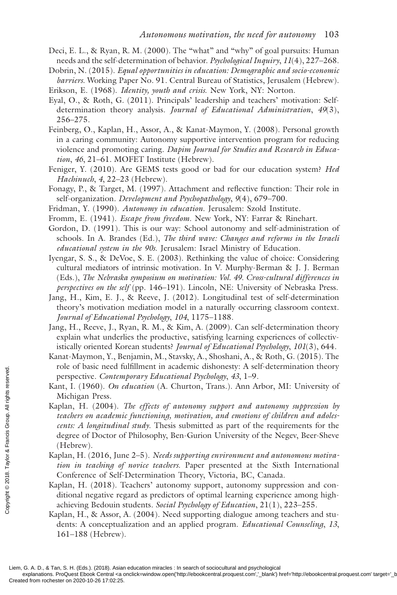- Deci, E. L., & Ryan, R. M. (2000). The "what" and "why" of goal pursuits: Human needs and the self-determination of behavior. *Psychological Inquiry*, *11*(4), 227–268.
- Dobrin, N. (2015). *Equal opportunities in education: Demographic and socio-economic barriers*. Working Paper No. 91. Central Bureau of Statistics, Jerusalem (Hebrew).

Erikson, E. (1968). *Identity, youth and crisis*. New York, NY: Norton.

- Eyal, O., & Roth, G. (2011). Principals' leadership and teachers' motivation: Selfdetermination theory analysis. *Journal of Educational Administration*, *49*(3), 256–275.
- Feinberg, O., Kaplan, H., Assor, A., & Kanat-Maymon, Y. (2008). Personal growth in a caring community: Autonomy supportive intervention program for reducing violence and promoting caring. *Dapim Journal for Studies and Research in Educa*tion, 46, 21-61. MOFET Institute (Hebrew).
- Feniger, Y. (2010). Are GEMS tests good or bad for our education system? *Hed Hachinuch* , *4* , 22–23 (Hebrew).
- Fonagy, P., & Target, M. (1997). Attachment and reflective function: Their role in self-organization. *Development and Psychopathology*,  $9(4)$ , 679–700.
- Fridman, Y. (1990). *Autonomy in education*. Jerusalem: Szold Institute.
- Fromm, E. (1941). *Escape from freedom*. New York, NY: Farrar & Rinehart.
- Gordon, D. (1991). This is our way: School autonomy and self-administration of schools. In A. Brandes (Ed.), *The third wave: Changes and reforms in the Israeli educational system in the 90s*. Jerusalem: Israel Ministry of Education.
- Iyengar, S. S., & DeVoe, S. E. (2003). Rethinking the value of choice: Considering cultural mediators of intrinsic motivation. In V. Murphy-Berman & J. J. Berman (Eds.), *The Nebraska symposium on motivation: Vol. 49. Cross-cultural differences in perspectives on the self* (pp. 146–191). Lincoln, NE: University of Nebraska Press.
- Jang, H., Kim, E. J., & Reeve, J. (2012). Longitudinal test of self-determination theory's motivation mediation model in a naturally occurring classroom context. *Journal of Educational Psychology* , *104* , 1175–1188.
- Jang, H., Reeve, J., Ryan, R. M., & Kim, A. (2009). Can self-determination theory explain what underlies the productive, satisfying learning experiences of collectivistically oriented Korean students? *Journal of Educational Psychology*, 101(3), 644.
- Kanat-Maymon, Y., Benjamin, M., Stavsky, A., Shoshani, A., & Roth, G. (2015). The role of basic need fulfillment in academic dishonesty: A self-determination theory perspective. *Contemporary Educational Psychology* , *43* , 1–9.
- Kant, I. (1960). *On education* (A. Churton, Trans.). Ann Arbor, MI: University of Michigan Press.
- Kaplan, H. (2004). *The effects of autonomy support and autonomy suppression by teachers on academic functioning, motivation, and emotions of children and adolescents: A longitudinal study*. Thesis submitted as part of the requirements for the degree of Doctor of Philosophy, Ben-Gurion University of the Negev, Beer-Sheve (Hebrew). From Francis and Francis Contents respective. Contemnation Press.<br>
Equals Raplan, H. (2004).<br> *teachers on academi*<br>
degree of Doctor of (Hebrew).<br>
Kaplan, H. (2016, Jun<br> *tion in teaching of* Conference of Self-<br>
Kaplan,
	- Kaplan, H. (2016, June 2–5). *Needs supporting environment and autonomous motivation in teaching of novice teachers*. Paper presented at the Sixth International Conference of Self-Determination Theory, Victoria, BC, Canada.
	- Kaplan, H. (2018). Teachers' autonomy support, autonomy suppression and conditional negative regard as predictors of optimal learning experience among highachieving Bedouin students. *Social Psychology of Education*, 21(1), 223–255.
	- Kaplan, H., & Assor, A. (2004). Need supporting dialogue among teachers and students: A conceptualization and an applied program. *Educational Counseling*, *13* , 161–188 (Hebrew).

explanations. ProQuest Ebook Central <a onclick=window.open('http://ebookcentral.proquest.com','\_blank') href='http://ebookcentral.proquest.com' targe<br>Created from rochester on 2020-10-26 17:02:25.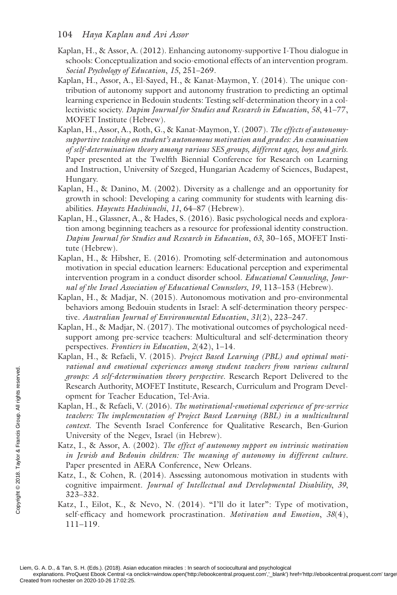- Kaplan, H., & Assor, A. (2012). Enhancing autonomy-supportive I-Thou dialogue in schools: Conceptualization and socio-emotional effects of an intervention program. *Social Psychology of Education*, 15, 251–269.
- Kaplan, H., Assor, A., El-Sayed, H., & Kanat-Maymon, Y. (2014). The unique contribution of autonomy support and autonomy frustration to predicting an optimal learning experience in Bedouin students: Testing self-determination theory in a collectivistic society. *Dapim Journal for Studies and Research in Education*, *58*, 41–77, MOFET Institute (Hebrew).
- Kaplan, H., Assor, A., Roth, G., & Kanat-Maymon, Y. (2007). *The effects of autonomysupportive teaching on student's autonomous motivation and grades: An examination of self-determination theory among various SES groups, different ages, boys and girls* . Paper presented at the Twelfth Biennial Conference for Research on Learning and Instruction, University of Szeged, Hungarian Academy of Sciences, Budapest, Hungary.
- Kaplan, H., & Danino, M. (2002). Diversity as a challenge and an opportunity for growth in school: Developing a caring community for students with learning disabilities. *Hayeutz Hachinuchi* , *11* , 64–87 (Hebrew).
- Kaplan, H., Glassner, A., & Hades, S. (2016). Basic psychological needs and exploration among beginning teachers as a resource for professional identity construction. *Dapim Journal for Studies and Research in Education*, *63*, 30–165, MOFET Institute (Hebrew).
- Kaplan, H., & Hibsher, E. (2016). Promoting self-determination and autonomous motivation in special education learners: Educational perception and experimental intervention program in a conduct disorder school. *Educational Counseling*, *Jour*nal of the Israel Association of Educational Counselors, 19, 113-153 (Hebrew).
- Kaplan, H., & Madjar, N. (2015). Autonomous motivation and pro-environmental behaviors among Bedouin students in Israel: A self-determination theory perspective. *Australian Journal of Environmental Education*, 31(2), 223–247.
- Kaplan, H., & Madjar, N. (2017). The motivational outcomes of psychological needsupport among pre-service teachers: Multicultural and self-determination theory perspectives. *Frontiers in Education*,  $2(42)$ , 1-14.
- Kaplan, H., & Refaeli, V. (2015). *Project Based Learning (PBL) and optimal motivational and emotional experiences among student teachers from various cultural groups: A self-determination theory perspective*. Research Report Delivered to the Research Authority, MOFET Institute, Research, Curriculum and Program Development for Teacher Education, Tel-Avia.
- Kaplan, H., & Refaeli, V. (2016). *The motivational-emotional experience of pre-service*  teachers: The implementation of Project Based Learning (BBL) in a multicultural *context*. The Seventh Israel Conference for Qualitative Research, Ben-Gurion University of the Negev, Israel (in Hebrew). Example the process of the property: A self-determ<br>
Research Authority,<br>
opment for Teacher<br>
Kaplan, H., & Refaeli,<br>
teachers: The implem<br>
context. The Sevent<br>
University of the N.<br>
Katz, I., & Assor, A.<br>
in Jewish and Be
	- Katz, I., & Assor, A. (2002). *The effect of autonomy support on intrinsic motivation in Jewish and Bedouin children: The meaning of autonomy in different culture* . Paper presented in AERA Conference, New Orleans.
	- Katz, I., & Cohen, R. (2014). Assessing autonomous motivation in students with cognitive impairment. *Journal of Intellectual and Developmental Disability*, *39* , 323–332.
	- Katz, I., Eilot, K., & Nevo, N. (2014). "I'll do it later": Type of motivation, self-efficacy and homework procrastination. *Motivation and Emotion*, 38(4), 111–119.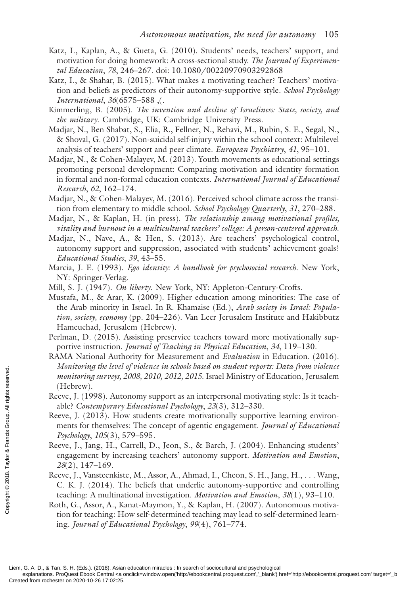- Katz, I., Kaplan, A., & Gueta, G. (2010). Students' needs, teachers' support, and motivation for doing homework: A cross-sectional study. *The Journal of Experimental Education* , *78* , 246–267. doi: 10.1080/00220970903292868
- Katz, I., & Shahar, B. (2015). What makes a motivating teacher? Teachers' motivation and beliefs as predictors of their autonomy-supportive style. *School Psychology International* , *36* (6575–588 ,(.
- Kimmerling, B. (2005). *The invention and decline of Israeliness: State, society, and the military*. Cambridge, UK: Cambridge University Press.
- Madjar, N., Ben Shabat, S., Elia, R., Fellner, N., Rehavi, M., Rubin, S. E., Segal, N., & Shoval, G. (2017). Non-suicidal self-injury within the school context: Multilevel analysis of teachers' support and peer climate. *European Psychiatry* , *41* , 95–101.
- Madjar, N., & Cohen-Malayev, M. (2013). Youth movements as educational settings promoting personal development: Comparing motivation and identity formation in formal and non-formal education contexts. *International Journal of Educational Research* , *62* , 162–174.
- Madjar, N., & Cohen-Malayev, M. (2016). Perceived school climate across the transition from elementary to middle school. *School Psychology Quarterly* , *31* , 270–288.
- Madjar, N., & Kaplan, H. (in press). *The relationship among motivational profiles, vitality and burnout in a multicultural teachers' college: A person-centered approach* .
- Madjar, N., Nave, A., & Hen, S. (2013). Are teachers' psychological control, autonomy support and suppression, associated with students' achievement goals? *Educational Studies* , *39* , 43–55.
- Marcia, J. E. (1993). *Ego identity: A handbook for psychosocial research*. New York, NY: Springer-Verlag.
- Mill, S. J. (1947). *On liberty*. New York, NY: Appleton-Century-Crofts.
- Mustafa, M., & Arar, K. (2009). Higher education among minorities: The case of the Arab minority in Israel. In R. Khamaise (Ed.), *Arab society in Israel: Population, society, economy* (pp. 204–226). Van Leer Jerusalem Institute and Hakibbutz Hameuchad, Jerusalem (Hebrew).
- Perlman, D. (2015). Assisting preservice teachers toward more motivationally supportive instruction. *Journal of Teaching in Physical Education* , *34* , 119–130.
- RAMA National Authority for Measurement and *Evaluation* in Education. (2016). *Monitoring the level of violence in schools based on student reports: Data from violence monitoring surveys, 2008, 2010, 2012, 2015*. Israel Ministry of Education, Jerusalem (Hebrew).
- Reeve, J. (1998). Autonomy support as an interpersonal motivating style: Is it teachable? *Contemporary Educational Psychology* , *23* (3), 312–330.
- Reeve, J. (2013). How students create motivationally supportive learning environments for themselves: The concept of agentic engagement. *Journal of Educational Psychology*, *105* (3), 579–595.
- Reeve, J., Jang, H., Carrell, D., Jeon, S., & Barch, J. (2004). Enhancing students' engagement by increasing teachers' autonomy support. *Motivation and Emotion* , *28* (2), 147–169.
- Reeve, J., Vansteenkiste, M., Assor, A., Ahmad, I., Cheon, S. H., Jang, H., . . . Wang, C. K. J. (2014). The beliefs that underlie autonomy-supportive and controlling teaching: A multinational investigation. *Motivation and Emotion* , *38* (1), 93–110.
- Roth, G., Assor, A., Kanat-Maymon, Y., & Kaplan, H. (2007). Autonomous motivation for teaching: How self-determined teaching may lead to self-determined learning. *Journal of Educational Psychology* , *99* (4), 761–774. Example the test monitoring surveys,<br>  $\frac{1}{2}$  monitoring surveys,<br>  $\frac{1}{2}$  (Hebrew).<br>
Recve, J. (1998). Automorary<br>
Recve, J. (2013). Ho<br>
ments for themselve<br>  $Pychology$ , 105(3), 5<br>
Recve, J., Jang, H., C<br>
engagement by in